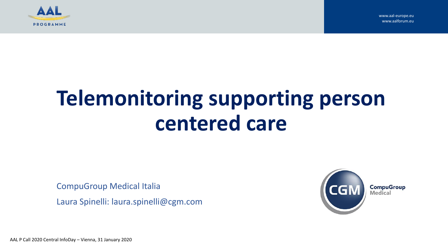

# **Telemonitoring supporting person centered care**

CompuGroup Medical Italia

Laura Spinelli: laura.spinelli@cgm.com



AAL P Call 2020 Central InfoDay – Vienna, 31 January 2020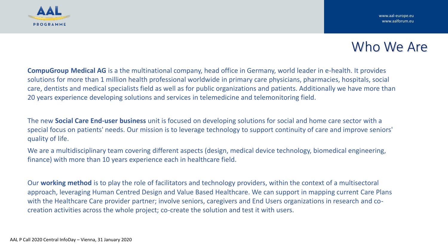

# Who We Are

**CompuGroup Medical AG** is a the multinational company, head office in Germany, world leader in e-health. It provides solutions for more than 1 million health professional worldwide in primary care physicians, pharmacies, hospitals, social care, dentists and medical specialists field as well as for public organizations and patients. Additionally we have more than 20 years experience developing solutions and services in telemedicine and telemonitoring field.

The new **Social Care End-user business** unit is focused on developing solutions for social and home care sector with a special focus on patients' needs. Our mission is to leverage technology to support continuity of care and improve seniors' quality of life.

We are a multidisciplinary team covering different aspects (design, medical device technology, biomedical engineering, finance) with more than 10 years experience each in healthcare field.

Our **working method** is to play the role of facilitators and technology providers, within the context of a multisectoral approach, leveraging Human Centred Design and Value Based Healthcare. We can support in mapping current Care Plans with the Healthcare Care provider partner; involve seniors, caregivers and End Users organizations in research and cocreation activities across the whole project; co-create the solution and test it with users.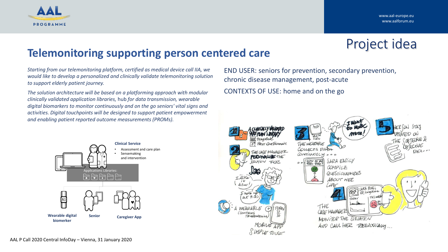

Project idea

## **Telemonitoring supporting person centered care**

*Starting from our telemonitoring platform, certified as medical device call IIA, we would like to develop a personalized and clinically validate telemonitoring solution to support elderly patient journey.* 

*The solution architecture will be based on a platforming approach with modular clinically validated application libraries,* hub *for data transmission, wearable digital biomarkers to monitor continuously and on the go seniors' vital signs and activities. Digital touchpoints will be designed to support patient empowerment and enabling patient reported outcome measurements (PROMs).*



END USER: seniors for prevention, secondary prevention, chronic disease management, post-acute CONTEXTS OF USE: home and on the go